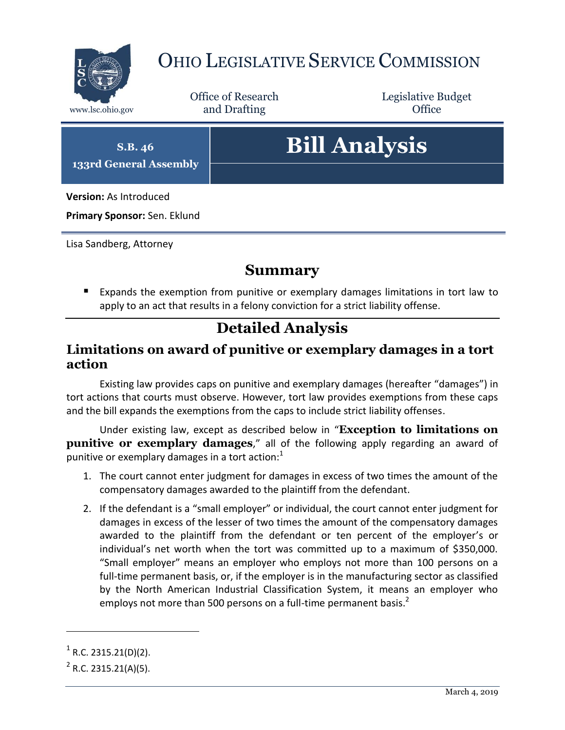

## OHIO LEGISLATIVE SERVICE COMMISSION

Office of Research www.lsc.ohio.gov and Drafting Control of Control of the Control of Control of the Control of Control of the Control of the Control of the Control of the Control of the Control of the Control of the Control of the Control o

Legislative Budget

**S.B. 46 133rd General Assembly**

# **Bill Analysis**

**Version:** As Introduced

**Primary Sponsor:** Sen. Eklund

Lisa Sandberg, Attorney

### **Summary**

 Expands the exemption from punitive or exemplary damages limitations in tort law to apply to an act that results in a felony conviction for a strict liability offense.

## **Detailed Analysis**

#### <span id="page-0-0"></span>**Limitations on award of punitive or exemplary damages in a tort action**

Existing law provides caps on punitive and exemplary damages (hereafter "damages") in tort actions that courts must observe. However, tort law provides exemptions from these caps and the bill expands the exemptions from the caps to include strict liability offenses.

Under existing law, except as described below in "**[Exception to limitations on](#page-1-0)  [punitive or exemplary damages](#page-1-0)**," all of the following apply regarding an award of punitive or exemplary damages in a tort action: $1$ 

- 1. The court cannot enter judgment for damages in excess of two times the amount of the compensatory damages awarded to the plaintiff from the defendant.
- 2. If the defendant is a "small employer" or individual, the court cannot enter judgment for damages in excess of the lesser of two times the amount of the compensatory damages awarded to the plaintiff from the defendant or ten percent of the employer's or individual's net worth when the tort was committed up to a maximum of \$350,000. "Small employer" means an employer who employs not more than 100 persons on a full-time permanent basis, or, if the employer is in the manufacturing sector as classified by the North American Industrial Classification System, it means an employer who employs not more than 500 persons on a full-time permanent basis. $<sup>2</sup>$ </sup>

 $\overline{a}$ 

 $1$  R.C. 2315.21(D)(2).

 $2^2$  R.C. 2315.21(A)(5).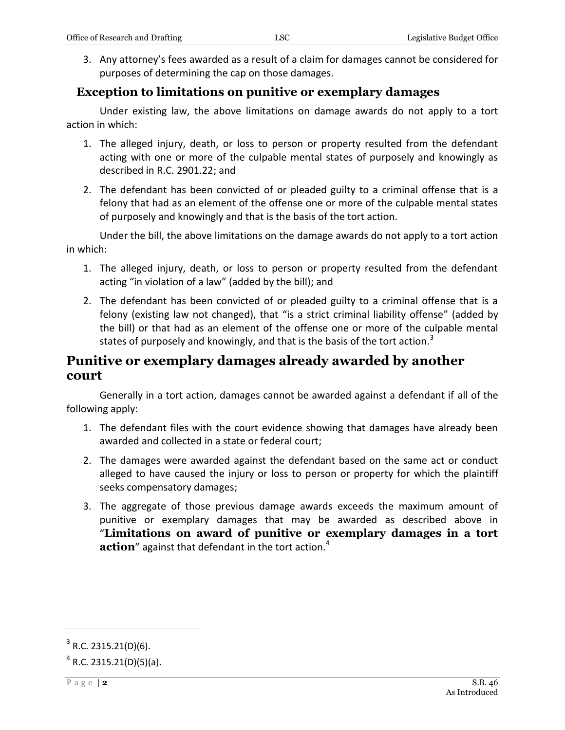3. Any attorney's fees awarded as a result of a claim for damages cannot be considered for purposes of determining the cap on those damages.

#### <span id="page-1-0"></span>**Exception to limitations on punitive or exemplary damages**

Under existing law, the above limitations on damage awards do not apply to a tort action in which:

- 1. The alleged injury, death, or loss to person or property resulted from the defendant acting with one or more of the culpable mental states of purposely and knowingly as described in R.C. 2901.22; and
- 2. The defendant has been convicted of or pleaded guilty to a criminal offense that is a felony that had as an element of the offense one or more of the culpable mental states of purposely and knowingly and that is the basis of the tort action.

Under the bill, the above limitations on the damage awards do not apply to a tort action in which:

- 1. The alleged injury, death, or loss to person or property resulted from the defendant acting "in violation of a law" (added by the bill); and
- 2. The defendant has been convicted of or pleaded guilty to a criminal offense that is a felony (existing law not changed), that "is a strict criminal liability offense" (added by the bill) or that had as an element of the offense one or more of the culpable mental states of purposely and knowingly, and that is the basis of the tort action.<sup>3</sup>

#### **Punitive or exemplary damages already awarded by another court**

Generally in a tort action, damages cannot be awarded against a defendant if all of the following apply:

- 1. The defendant files with the court evidence showing that damages have already been awarded and collected in a state or federal court;
- 2. The damages were awarded against the defendant based on the same act or conduct alleged to have caused the injury or loss to person or property for which the plaintiff seeks compensatory damages;
- 3. The aggregate of those previous damage awards exceeds the maximum amount of punitive or exemplary damages that may be awarded as described above in "**[Limitations on award of punitive or exemplary damages in a tort](#page-0-0)  [action](#page-0-0)**" against that defendant in the tort action.<sup>4</sup>

 $\overline{a}$ 

 $3$  R.C. 2315.21(D)(6).

 $4$  R.C. 2315.21(D)(5)(a).